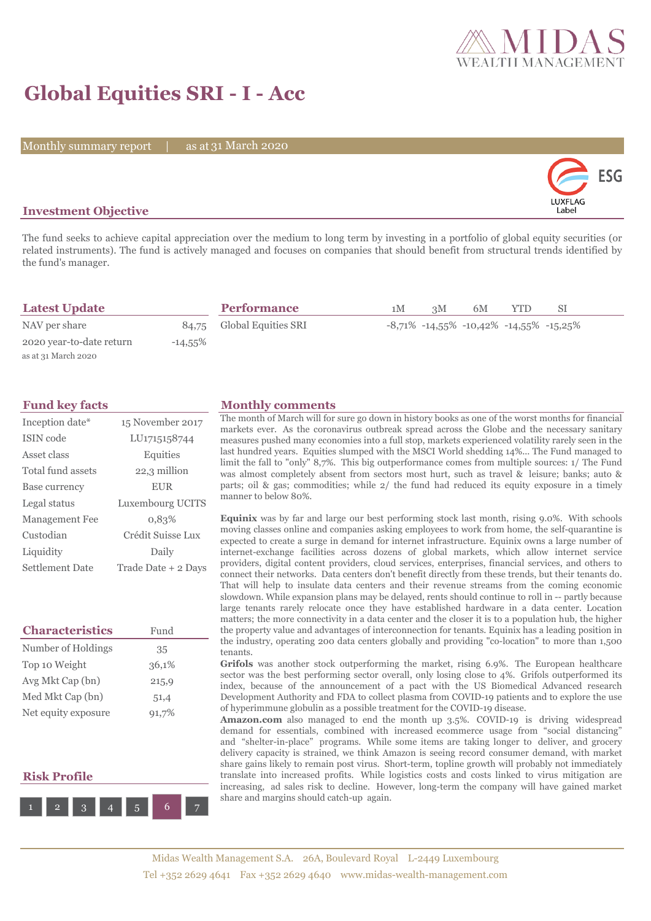

## **Global Equities SRI - I - Acc**

Monthly summary report | as at 31 March 2020



## **Investment Objective**

The fund seeks to achieve capital appreciation over the medium to long term by investing in a portfolio of global equity securities (or related instruments). The fund is actively managed and focuses on companies that should benefit from structural trends identified by the fund's manager.

| <b>Latest Update</b>     |            | <b>Performance</b>        | 1M | 3M | 6M | <b>YTD</b>                                            | SI. |  |
|--------------------------|------------|---------------------------|----|----|----|-------------------------------------------------------|-----|--|
| NAV per share            |            | 84,75 Global Equities SRI |    |    |    | $-8,71\%$ $-14,55\%$ $-10,42\%$ $-14,55\%$ $-15,25\%$ |     |  |
| 2020 year-to-date return | $-14,55\%$ |                           |    |    |    |                                                       |     |  |
| as at 31 March 2020      |            |                           |    |    |    |                                                       |     |  |

| Inception date*        | 15 November 2017    |
|------------------------|---------------------|
| ISIN code              | LU1715158744        |
| Asset class            | Equities            |
| Total fund assets      | 22,3 million        |
| Base currency          | <b>EUR</b>          |
| Legal status           | Luxembourg UCITS    |
| <b>Management Fee</b>  | 0.83%               |
| Custodian              | Crédit Suisse Lux   |
| Liquidity              | Daily               |
| <b>Settlement Date</b> | Trade Date + 2 Days |

| <b>Characteristics</b> | Fund  |
|------------------------|-------|
| Number of Holdings     | 35    |
| Top 10 Weight          | 36,1% |
| Avg Mkt Cap (bn)       | 215,9 |
| Med Mkt Cap (bn)       | 51,4  |
| Net equity exposure    | 91,7% |

## **Risk Profile**



### **Fund key facts Monthly comments**

The month of March will for sure go down in history books as one of the worst months for financial markets ever. As the coronavirus outbreak spread across the Globe and the necessary sanitary measures pushed many economies into a full stop, markets experienced volatility rarely seen in the last hundred years. Equities slumped with the MSCI World shedding 14%... The Fund managed to limit the fall to "only" 8,7%. This big outperformance comes from multiple sources: 1/ The Fund was almost completely absent from sectors most hurt, such as travel & leisure; banks; auto & parts; oil & gas; commodities; while 2/ the fund had reduced its equity exposure in a timely manner to below 80%.

**Equinix** was by far and large our best performing stock last month, rising 9.0%. With schools moving classes online and companies asking employees to work from home, the self-quarantine is expected to create a surge in demand for internet infrastructure. Equinix owns a large number of internet-exchange facilities across dozens of global markets, which allow internet service providers, digital content providers, cloud services, enterprises, financial services, and others to connect their networks. Data centers don't benefit directly from these trends, but their tenants do. That will help to insulate data centers and their revenue streams from the coming economic slowdown. While expansion plans may be delayed, rents should continue to roll in -- partly because large tenants rarely relocate once they have established hardware in a data center. Location matters; the more connectivity in a data center and the closer it is to a population hub, the higher the property value and advantages of interconnection for tenants. Equinix has a leading position in the industry, operating 200 data centers globally and providing "co-location" to more than 1,500 tenants.

Grifols was another stock outperforming the market, rising 6.9%. The European healthcare sector was the best performing sector overall, only losing close to 4%. Grifols outperformed its index, because of the announcement of a pact with the US Biomedical Advanced research Development Authority and FDA to collect plasma from COVID-19 patients and to explore the use of hyperimmune globulin as a possible treatment for the COVID-19 disease.

**Amazon.com** also managed to end the month up 3.5%. COVID-19 is driving widespread demand for essentials, combined with increased ecommerce usage from "social distancing" and "shelter-in-place" programs. While some items are taking longer to deliver, and grocery delivery capacity is strained, we think Amazon is seeing record consumer demand, with market share gains likely to remain post virus. Short-term, topline growth will probably not immediately translate into increased profits. While logistics costs and costs linked to virus mitigation are increasing, ad sales risk to decline. However, long-term the company will have gained market share and margins should catch-up again.